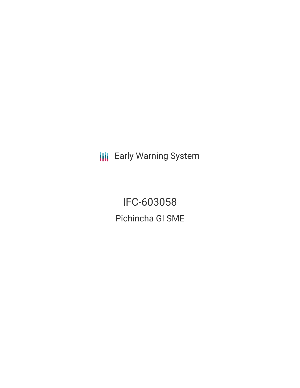**III** Early Warning System

IFC-603058 Pichincha GI SME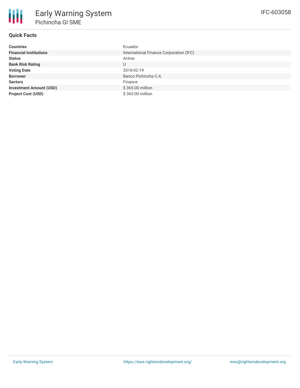# **Quick Facts**

| <b>Countries</b>               | Ecuador                                 |
|--------------------------------|-----------------------------------------|
| <b>Financial Institutions</b>  | International Finance Corporation (IFC) |
| <b>Status</b>                  | Active                                  |
| <b>Bank Risk Rating</b>        | U                                       |
| <b>Voting Date</b>             | 2018-02-19                              |
| <b>Borrower</b>                | Banco Pichincha C.A.                    |
| <b>Sectors</b>                 | Finance                                 |
| <b>Investment Amount (USD)</b> | \$365.00 million                        |
| <b>Project Cost (USD)</b>      | \$365.00 million                        |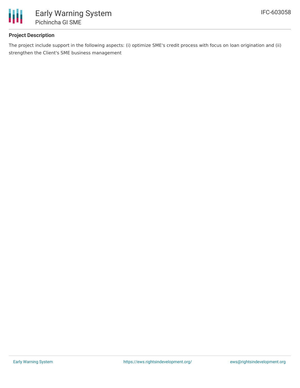

## **Project Description**

The project include support in the following aspects: (i) optimize SME's credit process with focus on loan origination and (ii) strengthen the Client's SME business management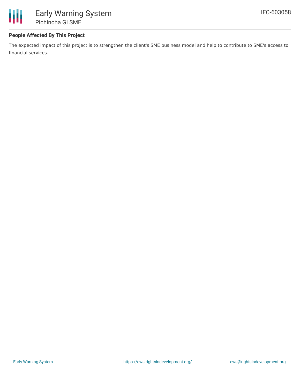

### **People Affected By This Project**

The expected impact of this project is to strengthen the client's SME business model and help to contribute to SME's access to financial services.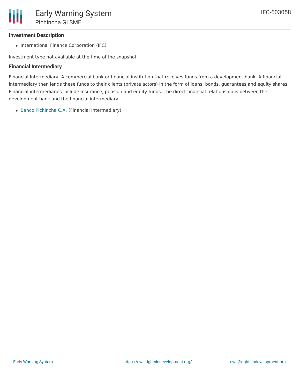#### **Investment Description**

• International Finance Corporation (IFC)

Investment type not available at the time of the snapshot

#### **Financial Intermediary**

Financial Intermediary: A commercial bank or financial institution that receives funds from a development bank. A financial intermediary then lends these funds to their clients (private actors) in the form of loans, bonds, guarantees and equity shares. Financial intermediaries include insurance, pension and equity funds. The direct financial relationship is between the development bank and the financial intermediary.

Banco [Pichincha](file:///actor/1021/) C.A. (Financial Intermediary)